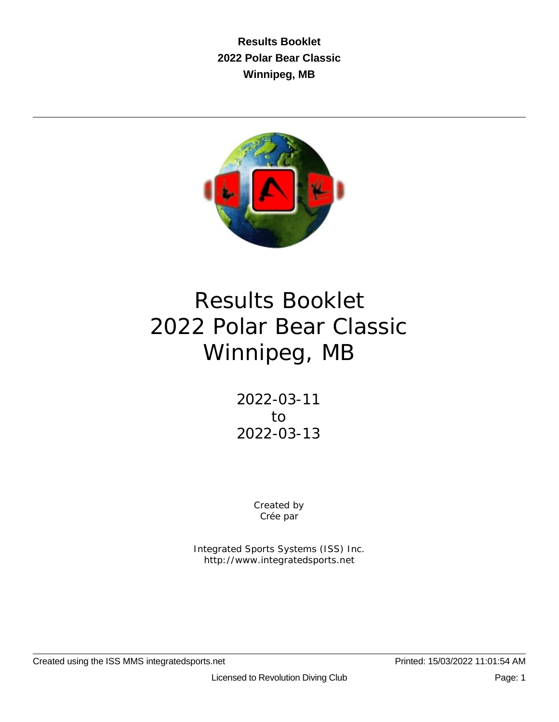**Results Booklet 2022 Polar Bear Classic Winnipeg, MB**



# Results Booklet 2022 Polar Bear Classic Winnipeg, MB

2022-03-11 to 2022-03-13

> Created by Crée par

Integrated Sports Systems (ISS) Inc. http://www.integratedsports.net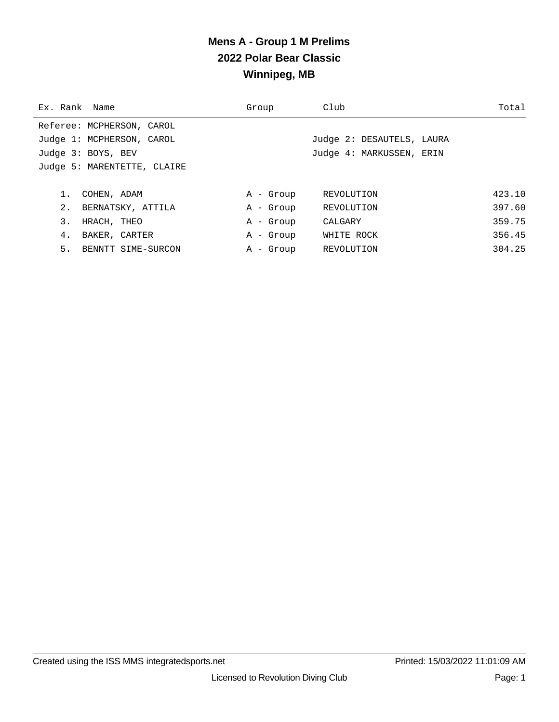## **Mens A - Group 1 M Prelims 2022 Polar Bear Classic Winnipeg, MB**

| Ex. Rank Name |                             | Group     | Club                      | Total  |
|---------------|-----------------------------|-----------|---------------------------|--------|
|               | Referee: MCPHERSON, CAROL   |           |                           |        |
|               | Judge 1: MCPHERSON, CAROL   |           | Judge 2: DESAUTELS, LAURA |        |
|               | Judge 3: BOYS, BEV          |           | Judge 4: MARKUSSEN, ERIN  |        |
|               | Judge 5: MARENTETTE, CLAIRE |           |                           |        |
|               |                             |           |                           |        |
|               | COHEN, ADAM                 | A - Group | REVOLUTION                | 423.10 |
| 2.            | BERNATSKY, ATTILA           | A - Group | REVOLUTION                | 397.60 |
| 3.            | HRACH, THEO                 | A - Group | CALGARY                   | 359.75 |
| 4.            | BAKER, CARTER               | A - Group | WHITE ROCK                | 356.45 |
| 5.            | BENNTT SIME-SURCON          | A - Group | REVOLUTION                | 304.25 |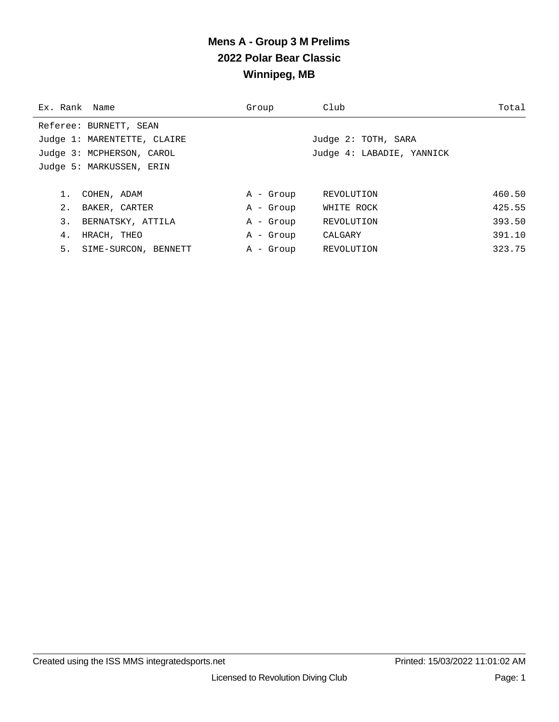## **Mens A - Group 3 M Prelims 2022 Polar Bear Classic Winnipeg, MB**

| Ex. Rank Name |                             | Group     | Club                      | Total  |
|---------------|-----------------------------|-----------|---------------------------|--------|
|               | Referee: BURNETT, SEAN      |           |                           |        |
|               | Judge 1: MARENTETTE, CLAIRE |           | Judge 2: TOTH, SARA       |        |
|               | Judge 3: MCPHERSON, CAROL   |           | Judge 4: LABADIE, YANNICK |        |
|               | Judge 5: MARKUSSEN, ERIN    |           |                           |        |
|               |                             |           |                           |        |
|               | COHEN, ADAM                 | A - Group | REVOLUTION                | 460.50 |
| 2.            | BAKER, CARTER               | A - Group | WHITE ROCK                | 425.55 |
| 3.            | BERNATSKY, ATTILA           | A - Group | REVOLUTION                | 393.50 |
| 4.            | HRACH, THEO                 | A - Group | CALGARY                   | 391.10 |
| 5.            | SIME-SURCON, BENNETT        | A - Group | REVOLUTION                | 323.75 |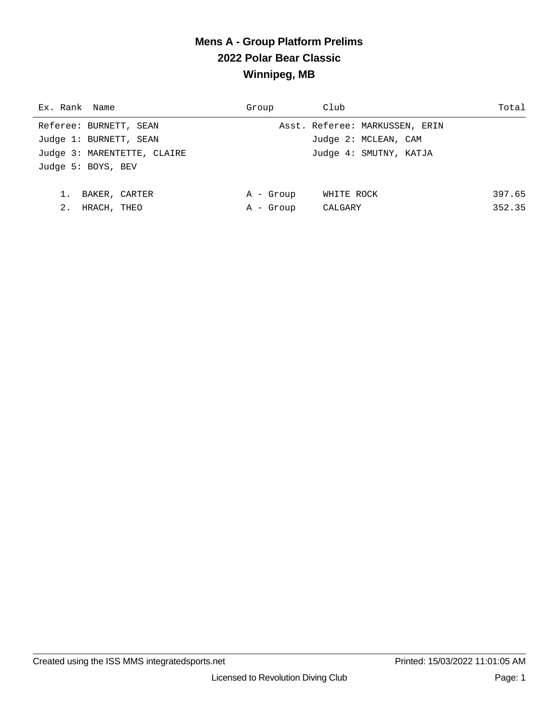## **Mens A - Group Platform Prelims 2022 Polar Bear Classic Winnipeg, MB**

| Ex. Rank Name               | Group     | Club                           | Total  |
|-----------------------------|-----------|--------------------------------|--------|
| Referee: BURNETT, SEAN      |           | Asst. Referee: MARKUSSEN, ERIN |        |
| Judge 1: BURNETT, SEAN      |           | Judge 2: MCLEAN, CAM           |        |
| Judge 3: MARENTETTE, CLAIRE |           | Judge 4: SMUTNY, KATJA         |        |
| Judge 5: BOYS, BEV          |           |                                |        |
|                             |           |                                |        |
| BAKER, CARTER               | A - Group | WHITE ROCK                     | 397.65 |
| 2.<br>HRACH, THEO           | A - Group | CALGARY                        | 352.35 |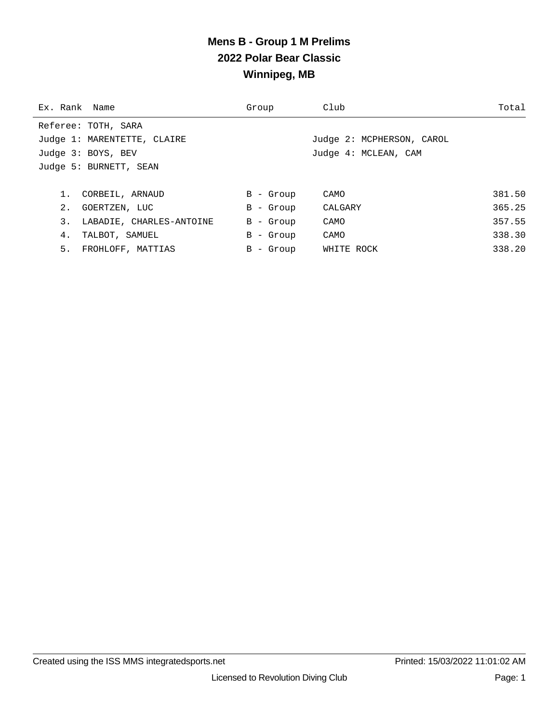## **Mens B - Group 1 M Prelims 2022 Polar Bear Classic Winnipeg, MB**

| Ex. Rank Name |                             | Group       | Club                      | Total  |
|---------------|-----------------------------|-------------|---------------------------|--------|
|               | Referee: TOTH, SARA         |             |                           |        |
|               | Judge 1: MARENTETTE, CLAIRE |             | Judge 2: MCPHERSON, CAROL |        |
|               | Judge 3: BOYS, BEV          |             | Judge 4: MCLEAN, CAM      |        |
|               | Judge 5: BURNETT, SEAN      |             |                           |        |
|               |                             |             |                           |        |
|               | CORBEIL, ARNAUD             | $B -$ Group | CAMO                      | 381.50 |
| 2.            | GOERTZEN, LUC               | $B -$ Group | CALGARY                   | 365.25 |
| 3.            | LABADIE, CHARLES-ANTOINE    | $B -$ Group | CAMO                      | 357.55 |
| 4.            | TALBOT, SAMUEL              | $B -$ Group | CAMO                      | 338.30 |
| 5.            | FROHLOFF, MATTIAS           | $B -$ Group | WHITE ROCK                | 338.20 |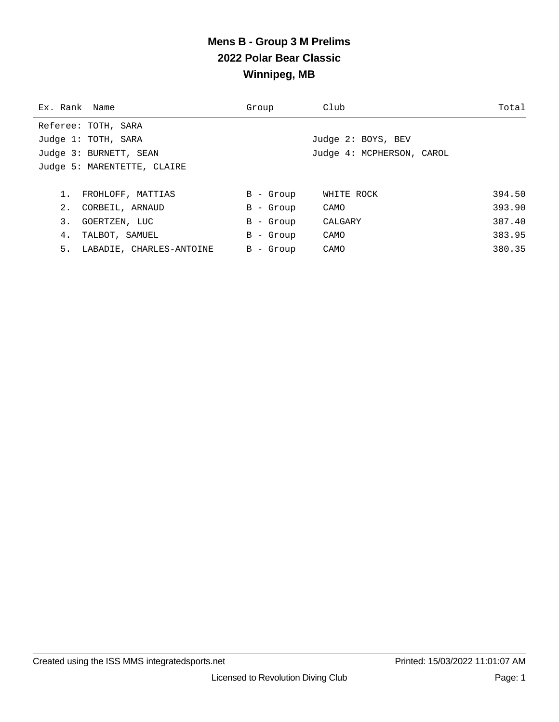## **Mens B - Group 3 M Prelims 2022 Polar Bear Classic Winnipeg, MB**

| Ex. Rank Name |                             | Group       | Club                      | Total  |
|---------------|-----------------------------|-------------|---------------------------|--------|
|               | Referee: TOTH, SARA         |             |                           |        |
|               | Judge 1: TOTH, SARA         |             | Judge 2: BOYS, BEV        |        |
|               | Judge 3: BURNETT, SEAN      |             | Judge 4: MCPHERSON, CAROL |        |
|               | Judge 5: MARENTETTE, CLAIRE |             |                           |        |
|               |                             |             |                           |        |
|               | FROHLOFF, MATTIAS           | $B -$ Group | WHITE ROCK                | 394.50 |
| 2.            | CORBEIL, ARNAUD             | $B -$ Group | CAMO                      | 393.90 |
| 3.            | GOERTZEN, LUC               | $B -$ Group | CALGARY                   | 387.40 |
| 4.            | TALBOT, SAMUEL              | $B -$ Group | CAMO                      | 383.95 |
|               | 5. LABADIE, CHARLES-ANTOINE | $B -$ Group | CAMO                      | 380.35 |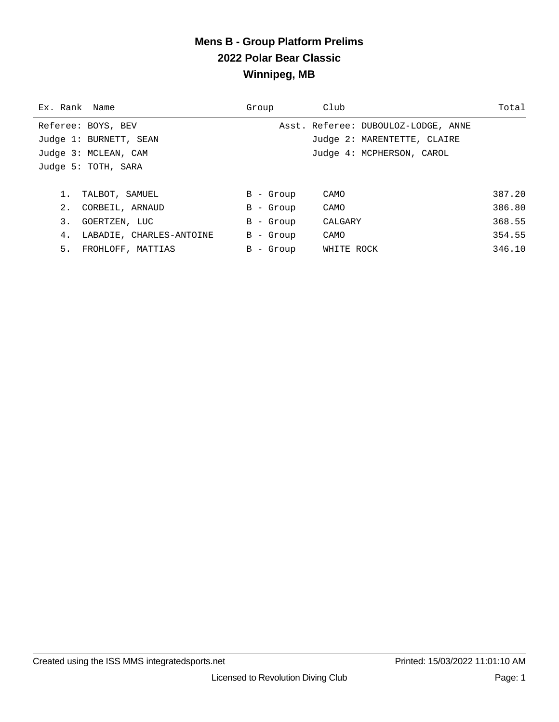## **Mens B - Group Platform Prelims 2022 Polar Bear Classic Winnipeg, MB**

| Ex. Rank Name |                          | Group       | Club                                | Total  |
|---------------|--------------------------|-------------|-------------------------------------|--------|
|               | Referee: BOYS, BEV       |             | Asst. Referee: DUBOULOZ-LODGE, ANNE |        |
|               | Judge 1: BURNETT, SEAN   |             | Judge 2: MARENTETTE, CLAIRE         |        |
|               | Judge 3: MCLEAN, CAM     |             | Judge 4: MCPHERSON, CAROL           |        |
|               | Judge 5: TOTH, SARA      |             |                                     |        |
|               |                          |             |                                     |        |
|               | TALBOT, SAMUEL           | $B -$ Group | CAMO                                | 387.20 |
| 2.            | CORBEIL, ARNAUD          | $B -$ Group | CAMO                                | 386.80 |
| 3.            | GOERTZEN, LUC            | $B -$ Group | CALGARY                             | 368.55 |
| 4.            | LABADIE, CHARLES-ANTOINE | B - Group   | CAMO                                | 354.55 |
| 5.            | FROHLOFF, MATTIAS        | B - Group   | WHITE ROCK                          | 346.10 |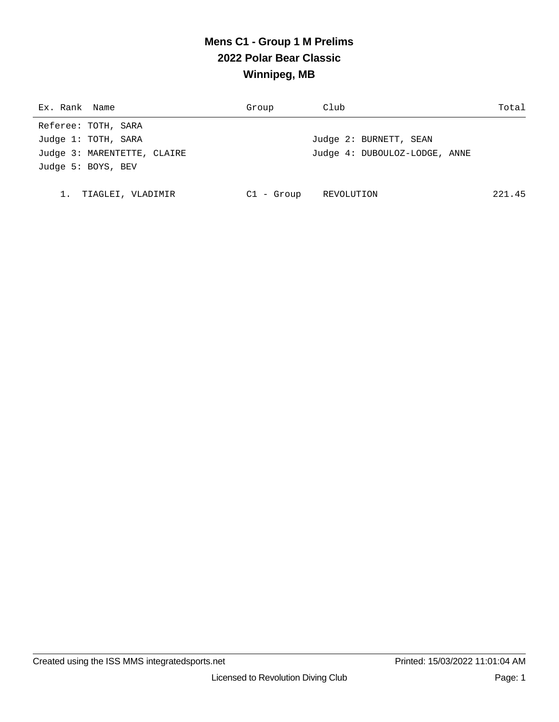# **Mens C1 - Group 1 M Prelims 2022 Polar Bear Classic Winnipeg, MB**

| Ex. Rank Name               | Group      | Club                          | Total  |
|-----------------------------|------------|-------------------------------|--------|
| Referee: TOTH, SARA         |            |                               |        |
| Judge 1: TOTH, SARA         |            | Judge 2: BURNETT, SEAN        |        |
| Judge 3: MARENTETTE, CLAIRE |            | Judge 4: DUBOULOZ-LODGE, ANNE |        |
| Judge 5: BOYS, BEV          |            |                               |        |
|                             |            |                               |        |
| TIAGLEI, VLADIMIR           | Cl - Group | REVOLUTION                    | 221.45 |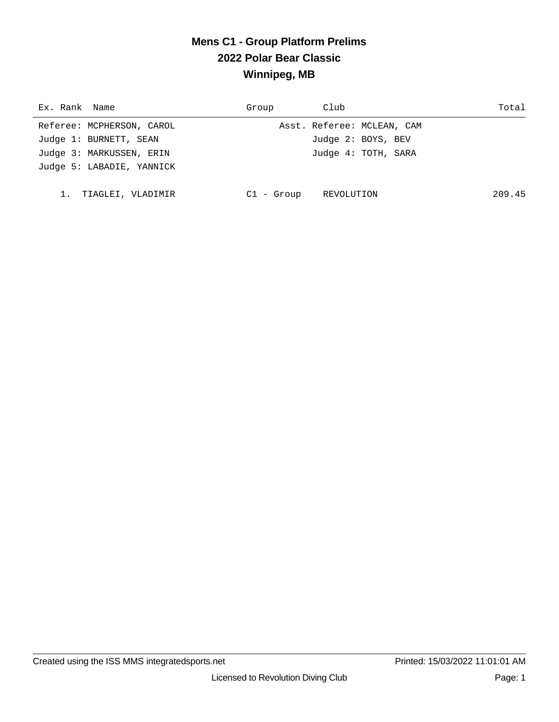## **Mens C1 - Group Platform Prelims 2022 Polar Bear Classic Winnipeg, MB**

| Ex. Rank Name             | Group        | Club                       | Total  |
|---------------------------|--------------|----------------------------|--------|
| Referee: MCPHERSON, CAROL |              | Asst. Referee: MCLEAN, CAM |        |
| Judge 1: BURNETT, SEAN    |              | Judge 2: BOYS, BEV         |        |
| Judge 3: MARKUSSEN, ERIN  |              | Judge 4: TOTH, SARA        |        |
| Judge 5: LABADIE, YANNICK |              |                            |        |
|                           |              |                            |        |
| TIAGLEI, VLADIMIR         | $Cl - Group$ | REVOLUTION                 | 209.45 |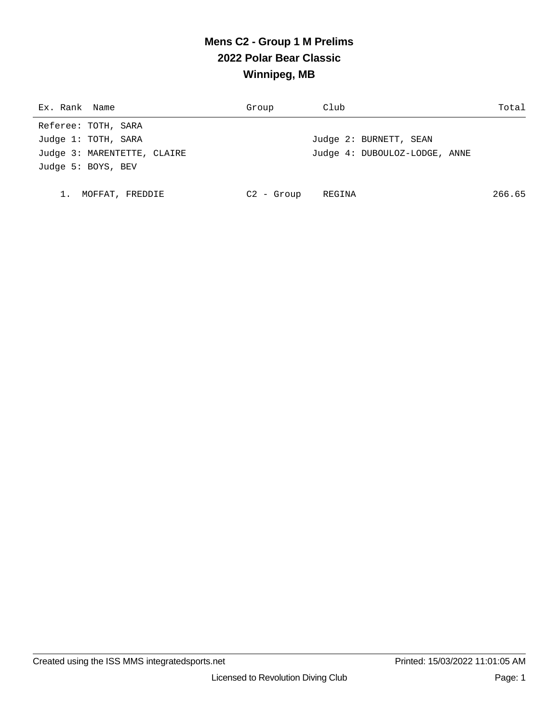# **Mens C2 - Group 1 M Prelims 2022 Polar Bear Classic Winnipeg, MB**

| Ex. Rank Name |                             | Group        | Club                          | Total  |
|---------------|-----------------------------|--------------|-------------------------------|--------|
|               | Referee: TOTH, SARA         |              |                               |        |
|               | Judge 1: TOTH, SARA         |              | Judge 2: BURNETT, SEAN        |        |
|               | Judge 3: MARENTETTE, CLAIRE |              | Judge 4: DUBOULOZ-LODGE, ANNE |        |
|               | Judge 5: BOYS, BEV          |              |                               |        |
|               |                             |              |                               |        |
|               | MOFFAT, FREDDIE             | $C2 -$ Group | REGINA                        | 266.65 |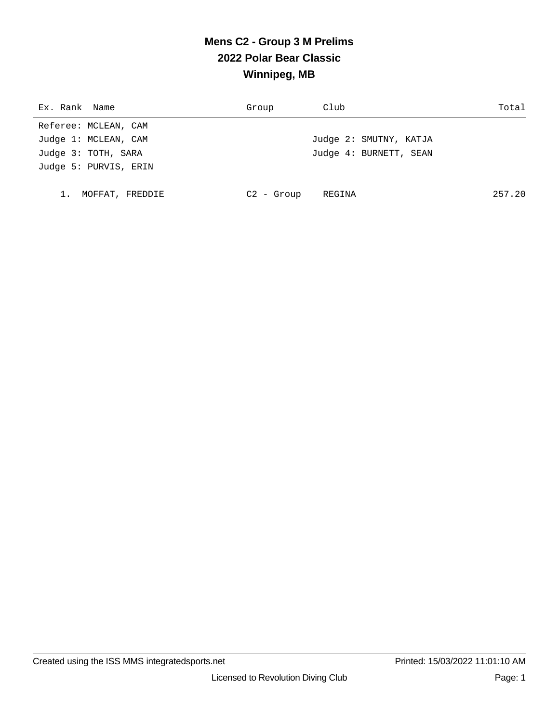# **Mens C2 - Group 3 M Prelims 2022 Polar Bear Classic Winnipeg, MB**

| Ex. Rank Name         | Group        | Club                   | Total  |
|-----------------------|--------------|------------------------|--------|
| Referee: MCLEAN, CAM  |              |                        |        |
| Judge 1: MCLEAN, CAM  |              | Judge 2: SMUTNY, KATJA |        |
| Judge 3: TOTH, SARA   |              | Judge 4: BURNETT, SEAN |        |
| Judge 5: PURVIS, ERIN |              |                        |        |
|                       |              |                        |        |
| MOFFAT, FREDDIE       | $C2 - Group$ | REGINA                 | 257.20 |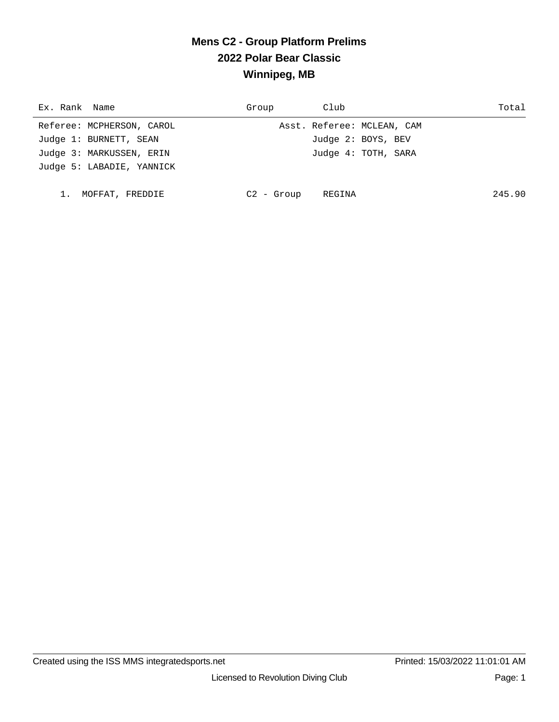## **Mens C2 - Group Platform Prelims 2022 Polar Bear Classic Winnipeg, MB**

| Ex. Rank Name             | Group       | Club                       | Total  |
|---------------------------|-------------|----------------------------|--------|
| Referee: MCPHERSON, CAROL |             | Asst. Referee: MCLEAN, CAM |        |
| Judge 1: BURNETT, SEAN    |             | Judge 2: BOYS, BEV         |        |
| Judge 3: MARKUSSEN, ERIN  |             | Judge 4: TOTH, SARA        |        |
| Judge 5: LABADIE, YANNICK |             |                            |        |
|                           |             |                            |        |
| 1. MOFFAT, FREDDIE        | $C2 - Grow$ | REGINA                     | 245.90 |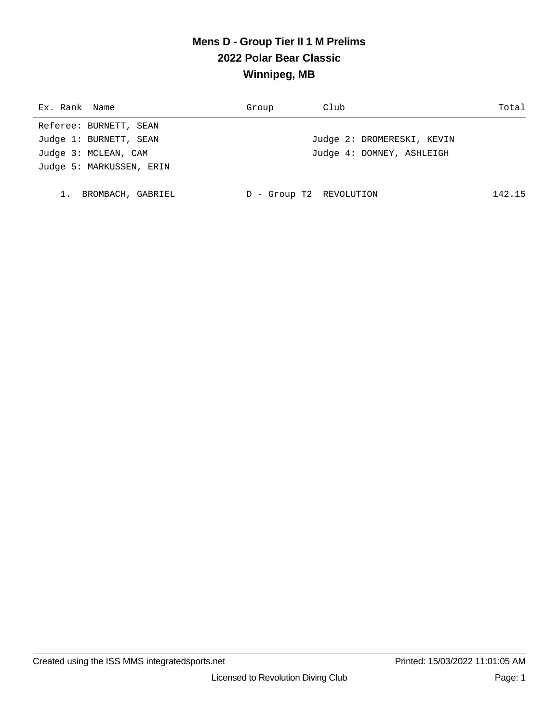## **Mens D - Group Tier II 1 M Prelims 2022 Polar Bear Classic Winnipeg, MB**

| Ex. Rank Name            | Group | Club                       | Total  |
|--------------------------|-------|----------------------------|--------|
| Referee: BURNETT, SEAN   |       |                            |        |
| Judge 1: BURNETT, SEAN   |       | Judge 2: DROMERESKI, KEVIN |        |
| Judge 3: MCLEAN, CAM     |       | Judge 4: DOMNEY, ASHLEIGH  |        |
| Judge 5: MARKUSSEN, ERIN |       |                            |        |
|                          |       |                            |        |
| BROMBACH, GABRIEL        |       | - Group T2 REVOLUTION      | 142.15 |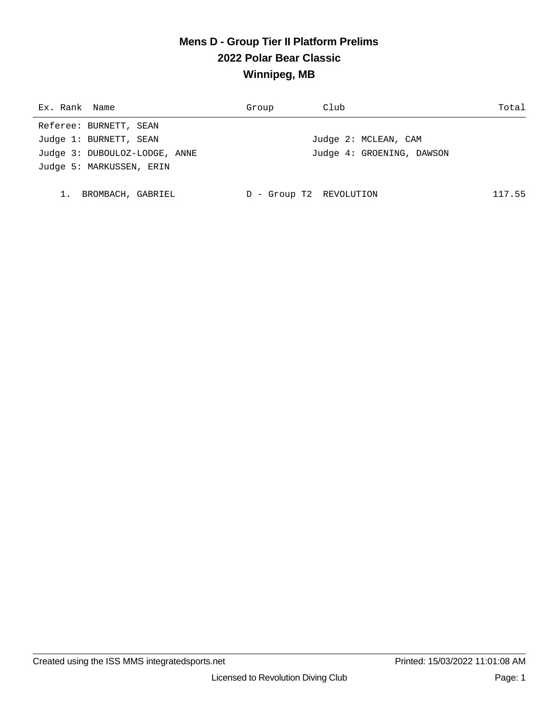## **Mens D - Group Tier II Platform Prelims 2022 Polar Bear Classic Winnipeg, MB**

| Ex. Rank Name                 | Group | Club                      | Total  |
|-------------------------------|-------|---------------------------|--------|
| Referee: BURNETT, SEAN        |       |                           |        |
| Judge 1: BURNETT, SEAN        |       | Judge 2: MCLEAN, CAM      |        |
| Judge 3: DUBOULOZ-LODGE, ANNE |       | Judge 4: GROENING, DAWSON |        |
| Judge 5: MARKUSSEN, ERIN      |       |                           |        |
|                               |       |                           |        |
| BROMBACH, GABRIEL             | D     | - Group T2 REVOLUTION     | 117.55 |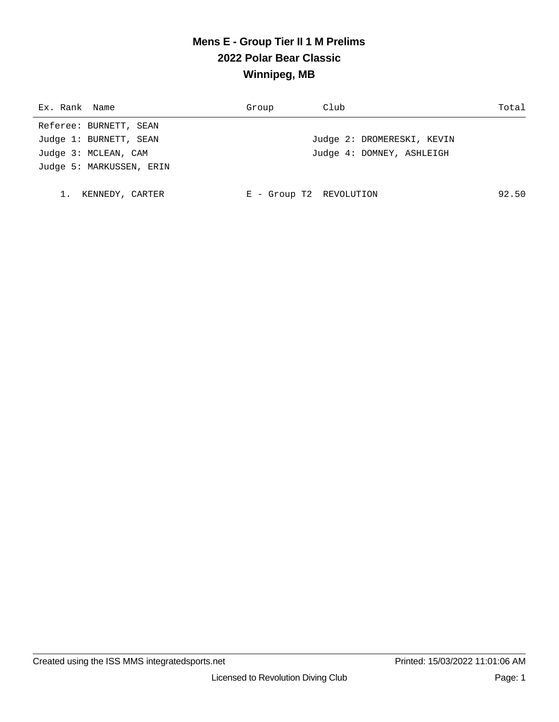## **Mens E - Group Tier II 1 M Prelims 2022 Polar Bear Classic Winnipeg, MB**

| Ex. Rank Name            | Group                   | Club                       | Total |
|--------------------------|-------------------------|----------------------------|-------|
| Referee: BURNETT, SEAN   |                         |                            |       |
| Judge 1: BURNETT, SEAN   |                         | Judge 2: DROMERESKI, KEVIN |       |
| Judge 3: MCLEAN, CAM     |                         | Judge 4: DOMNEY, ASHLEIGH  |       |
| Judge 5: MARKUSSEN, ERIN |                         |                            |       |
|                          |                         |                            |       |
| KENNEDY, CARTER          | E - Group T2 REVOLUTION |                            | 92.50 |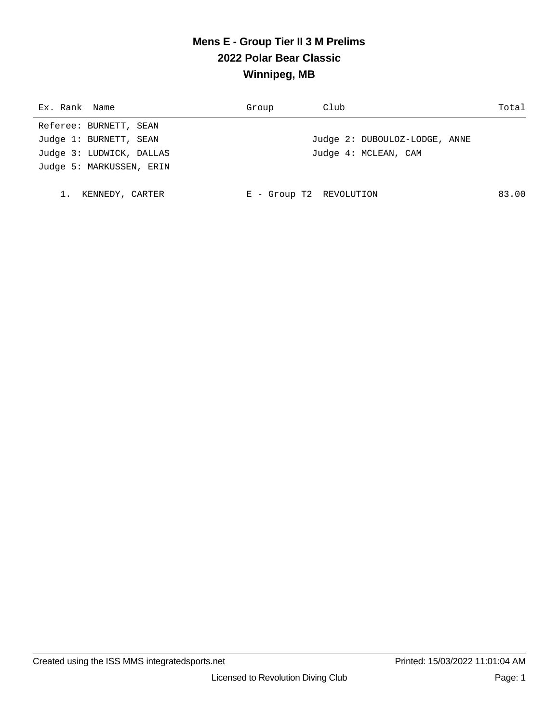# **Mens E - Group Tier II 3 M Prelims 2022 Polar Bear Classic Winnipeg, MB**

| Ex. Rank Name |                          | Group                   | Club                          | Total |
|---------------|--------------------------|-------------------------|-------------------------------|-------|
|               | Referee: BURNETT, SEAN   |                         |                               |       |
|               | Judge 1: BURNETT, SEAN   |                         | Judge 2: DUBOULOZ-LODGE, ANNE |       |
|               | Judge 3: LUDWICK, DALLAS |                         | Judge 4: MCLEAN, CAM          |       |
|               | Judge 5: MARKUSSEN, ERIN |                         |                               |       |
|               |                          |                         |                               |       |
|               | KENNEDY, CARTER          | E - Group T2 REVOLUTION |                               | 83.00 |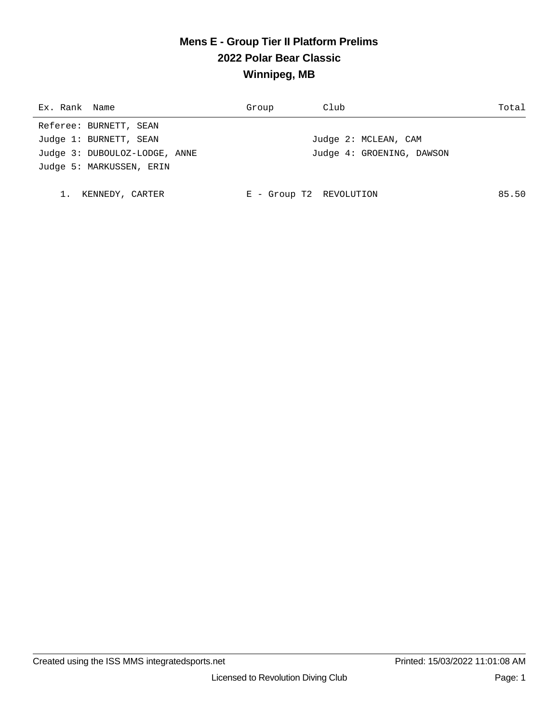## **Mens E - Group Tier II Platform Prelims 2022 Polar Bear Classic Winnipeg, MB**

| Ex. Rank Name                 | Group                   | Club                      | Total |
|-------------------------------|-------------------------|---------------------------|-------|
| Referee: BURNETT, SEAN        |                         |                           |       |
| Judge 1: BURNETT, SEAN        |                         | Judge 2: MCLEAN, CAM      |       |
| Judge 3: DUBOULOZ-LODGE, ANNE |                         | Judge 4: GROENING, DAWSON |       |
| Judge 5: MARKUSSEN, ERIN      |                         |                           |       |
|                               |                         |                           |       |
| KENNEDY, CARTER               | E - Group T2 REVOLUTION |                           | 85.50 |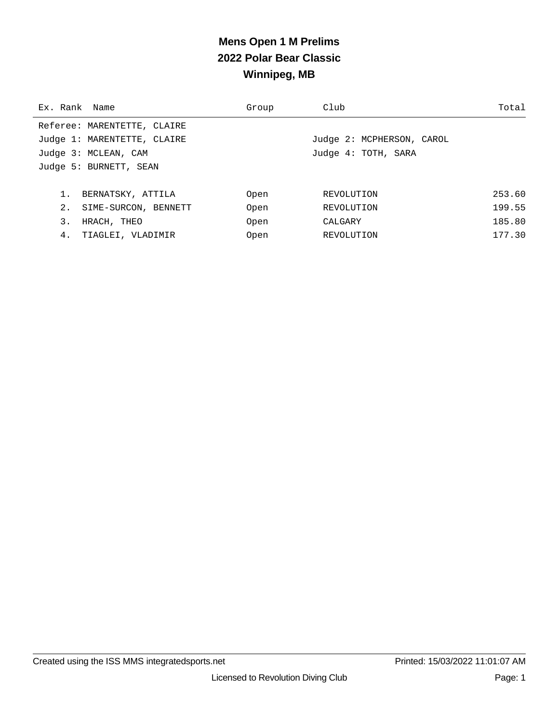# **Mens Open 1 M Prelims 2022 Polar Bear Classic Winnipeg, MB**

| Ex. Rank Name |                             | Group | Club                      | Total  |
|---------------|-----------------------------|-------|---------------------------|--------|
|               | Referee: MARENTETTE, CLAIRE |       |                           |        |
|               | Judge 1: MARENTETTE, CLAIRE |       | Judge 2: MCPHERSON, CAROL |        |
|               | Judge 3: MCLEAN, CAM        |       | Judge 4: TOTH, SARA       |        |
|               | Judge 5: BURNETT, SEAN      |       |                           |        |
|               |                             |       |                           |        |
|               | BERNATSKY, ATTILA           | Open  | REVOLUTION                | 253.60 |
| 2.            | SIME-SURCON, BENNETT        | Open  | REVOLUTION                | 199.55 |
| 3.            | HRACH, THEO                 | Open  | CALGARY                   | 185.80 |
| 4.            | TIAGLEI, VLADIMIR           | Open  | REVOLUTION                | 177.30 |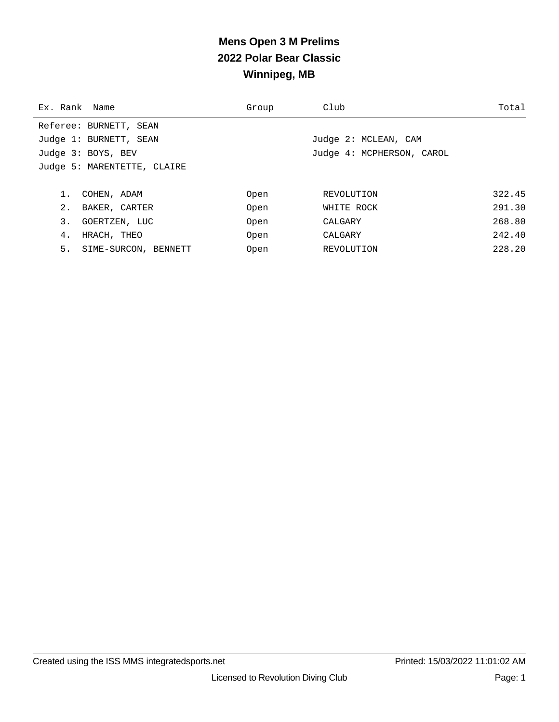# **Mens Open 3 M Prelims 2022 Polar Bear Classic Winnipeg, MB**

| Ex. Rank Name |                             | Group | Club                      | Total  |
|---------------|-----------------------------|-------|---------------------------|--------|
|               | Referee: BURNETT, SEAN      |       |                           |        |
|               | Judge 1: BURNETT, SEAN      |       | Judge 2: MCLEAN, CAM      |        |
|               | Judge 3: BOYS, BEV          |       | Judge 4: MCPHERSON, CAROL |        |
|               | Judge 5: MARENTETTE, CLAIRE |       |                           |        |
|               |                             |       |                           |        |
| 1.            | COHEN, ADAM                 | Open  | REVOLUTION                | 322.45 |
| 2.            | BAKER, CARTER               | Open  | WHITE ROCK                | 291.30 |
| 3.            | GOERTZEN, LUC               | Open  | CALGARY                   | 268.80 |
| 4.            | HRACH, THEO                 | Open  | CALGARY                   | 242.40 |
| 5.            | SIME-SURCON, BENNETT        | Open  | REVOLUTION                | 228.20 |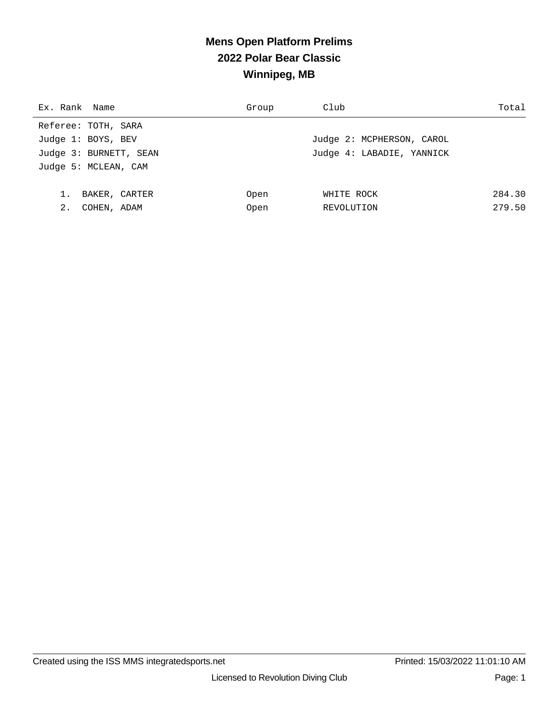# **Mens Open Platform Prelims 2022 Polar Bear Classic Winnipeg, MB**

| Ex. Rank Name          | Group | Club                      | Total  |
|------------------------|-------|---------------------------|--------|
| Referee: TOTH, SARA    |       |                           |        |
| Judge 1: BOYS, BEV     |       | Judge 2: MCPHERSON, CAROL |        |
| Judge 3: BURNETT, SEAN |       | Judge 4: LABADIE, YANNICK |        |
| Judge 5: MCLEAN, CAM   |       |                           |        |
|                        |       |                           |        |
| BAKER, CARTER          | Open  | WHITE ROCK                | 284.30 |
| 2.<br>COHEN, ADAM      | Open  | REVOLUTION                | 279.50 |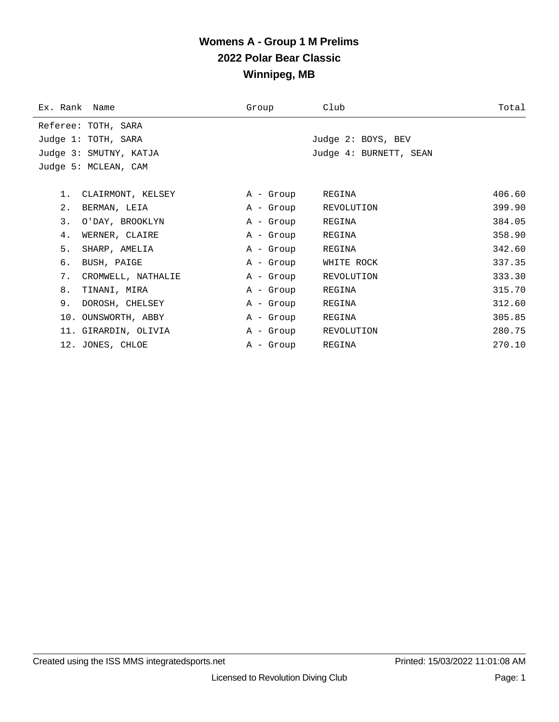## **Womens A - Group 1 M Prelims 2022 Polar Bear Classic Winnipeg, MB**

| Ex. Rank Name |                        | Group     | Club                   | Total  |
|---------------|------------------------|-----------|------------------------|--------|
|               | Referee: TOTH, SARA    |           |                        |        |
|               | Judge 1: TOTH, SARA    |           | Judge 2: BOYS, BEV     |        |
|               | Judge 3: SMUTNY, KATJA |           | Judge 4: BURNETT, SEAN |        |
|               | Judge 5: MCLEAN, CAM   |           |                        |        |
|               |                        |           |                        |        |
| $1$ .         | CLAIRMONT, KELSEY      | A - Group | REGINA                 | 406.60 |
| 2.            | BERMAN, LEIA           | A - Group | REVOLUTION             | 399.90 |
| 3.            | O'DAY, BROOKLYN        | A - Group | REGINA                 | 384.05 |
| 4.            | WERNER, CLAIRE         | A - Group | REGINA                 | 358.90 |
| 5.            | SHARP, AMELIA          | A - Group | REGINA                 | 342.60 |
| б.            | BUSH, PAIGE            | A - Group | WHITE ROCK             | 337.35 |
| 7.            | CROMWELL, NATHALIE     | A - Group | REVOLUTION             | 333.30 |
| 8.            | TINANI, MIRA           | A - Group | REGINA                 | 315.70 |
| 9.            | DOROSH, CHELSEY        | A - Group | REGINA                 | 312.60 |
|               | 10. OUNSWORTH, ABBY    | A - Group | REGINA                 | 305.85 |
|               | 11. GIRARDIN, OLIVIA   | A - Group | REVOLUTION             | 280.75 |
|               | 12. JONES, CHLOE       | A - Group | REGINA                 | 270.10 |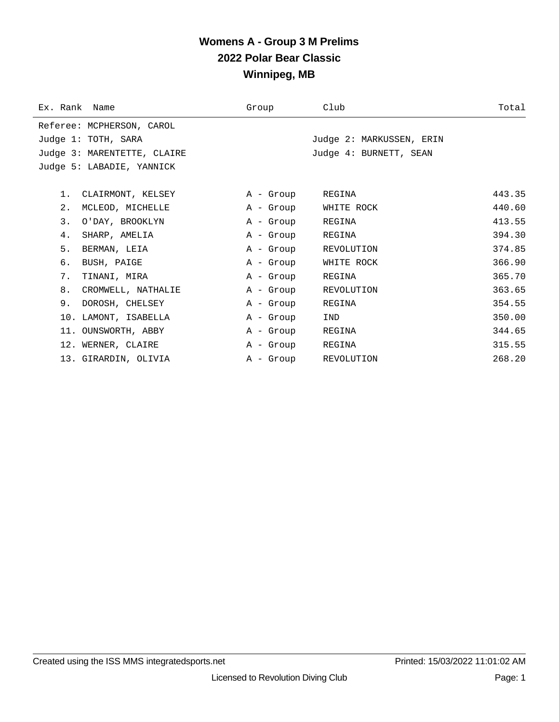#### **Womens A - Group 3 M Prelims 2022 Polar Bear Classic Winnipeg, MB**

| Ex. Rank Name       |                             | Group     | Club                     | Total  |
|---------------------|-----------------------------|-----------|--------------------------|--------|
|                     | Referee: MCPHERSON, CAROL   |           |                          |        |
| Judge 1: TOTH, SARA |                             |           | Judge 2: MARKUSSEN, ERIN |        |
|                     | Judge 3: MARENTETTE, CLAIRE |           | Judge 4: BURNETT, SEAN   |        |
|                     | Judge 5: LABADIE, YANNICK   |           |                          |        |
|                     |                             |           |                          |        |
| 1.                  | CLAIRMONT, KELSEY           | A - Group | REGINA                   | 443.35 |
| $2$ .               | MCLEOD, MICHELLE            | A - Group | WHITE ROCK               | 440.60 |
| 3.                  | O'DAY, BROOKLYN             | A - Group | REGINA                   | 413.55 |
| 4.                  | SHARP, AMELIA               | A - Group | REGINA                   | 394.30 |
| 5.                  | BERMAN, LEIA                | A - Group | REVOLUTION               | 374.85 |
| б.                  | BUSH, PAIGE                 | A - Group | WHITE ROCK               | 366.90 |
| 7.                  | TINANI, MIRA                | A - Group | REGINA                   | 365.70 |
| 8.                  | CROMWELL, NATHALIE          | A - Group | REVOLUTION               | 363.65 |
| 9.                  | DOROSH, CHELSEY             | A - Group | REGINA                   | 354.55 |
|                     | 10. LAMONT, ISABELLA        | A - Group | IND                      | 350.00 |
|                     | 11. OUNSWORTH, ABBY         | A - Group | REGINA                   | 344.65 |
|                     | 12. WERNER, CLAIRE          | A - Group | REGINA                   | 315.55 |
|                     | 13. GIRARDIN, OLIVIA        | A - Group | REVOLUTION               | 268.20 |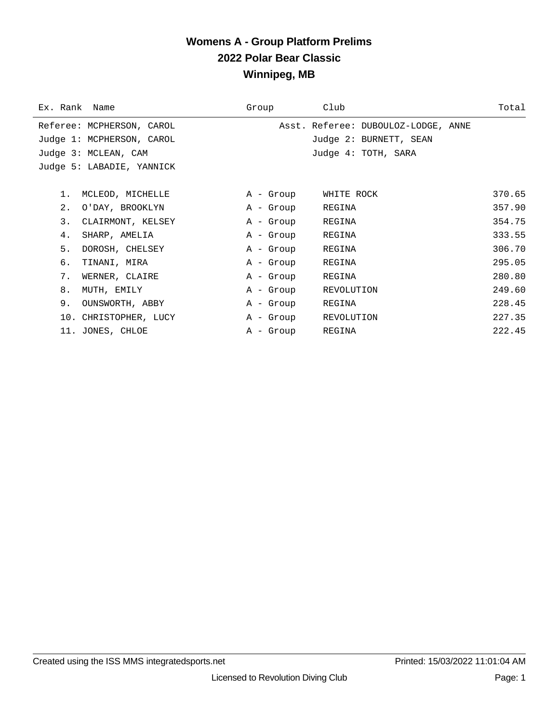#### **Womens A - Group Platform Prelims 2022 Polar Bear Classic Winnipeg, MB**

| Ex. Rank Name             | Group     | Club                                | Total  |
|---------------------------|-----------|-------------------------------------|--------|
| Referee: MCPHERSON, CAROL |           | Asst. Referee: DUBOULOZ-LODGE, ANNE |        |
| Judge 1: MCPHERSON, CAROL |           | Judge 2: BURNETT, SEAN              |        |
| Judge 3: MCLEAN, CAM      |           | Judge 4: TOTH, SARA                 |        |
| Judge 5: LABADIE, YANNICK |           |                                     |        |
|                           |           |                                     |        |
| MCLEOD, MICHELLE<br>$1$ . | A - Group | WHITE ROCK                          | 370.65 |
| 2.<br>O'DAY, BROOKLYN     | A - Group | REGINA                              | 357.90 |
| 3.<br>CLAIRMONT, KELSEY   | A - Group | REGINA                              | 354.75 |
| 4.<br>SHARP, AMELIA       | A - Group | REGINA                              | 333.55 |
| 5.<br>DOROSH, CHELSEY     | A - Group | REGINA                              | 306.70 |
| б.<br>TINANI, MIRA        | A - Group | REGINA                              | 295.05 |
| 7.<br>WERNER, CLAIRE      | A - Group | REGINA                              | 280.80 |
| 8.<br>MUTH, EMILY         | A - Group | REVOLUTION                          | 249.60 |
| 9.<br>OUNSWORTH, ABBY     | A - Group | REGINA                              | 228.45 |
| 10. CHRISTOPHER, LUCY     | A - Group | REVOLUTION                          | 227.35 |
| 11. JONES, CHLOE          | A - Group | REGINA                              | 222.45 |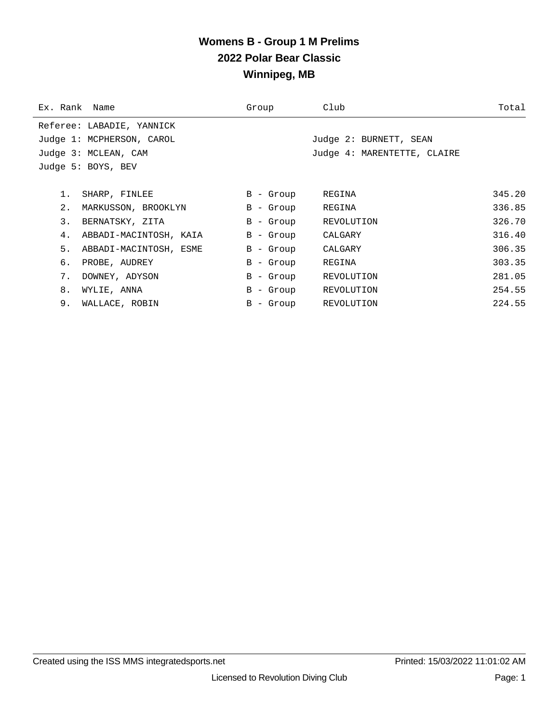## **Womens B - Group 1 M Prelims 2022 Polar Bear Classic Winnipeg, MB**

| Ex. Rank Name |                           | Group       | Club                        | Total  |
|---------------|---------------------------|-------------|-----------------------------|--------|
|               | Referee: LABADIE, YANNICK |             |                             |        |
|               | Judge 1: MCPHERSON, CAROL |             | Judge 2: BURNETT, SEAN      |        |
|               | Judge 3: MCLEAN, CAM      |             | Judge 4: MARENTETTE, CLAIRE |        |
|               | Judge 5: BOYS, BEV        |             |                             |        |
|               |                           |             |                             |        |
| 1.            | SHARP, FINLEE             | B - Group   | REGINA                      | 345.20 |
| 2.            | MARKUSSON, BROOKLYN       | B - Group   | REGINA                      | 336.85 |
| 3.            | BERNATSKY, ZITA           | B - Group   | REVOLUTION                  | 326.70 |
| 4.            | ABBADI-MACINTOSH, KAIA    | B - Group   | CALGARY                     | 316.40 |
| 5.            | ABBADI-MACINTOSH, ESME    | B - Group   | CALGARY                     | 306.35 |
| б.            | PROBE, AUDREY             | $B -$ Group | REGINA                      | 303.35 |
| 7.            | DOWNEY, ADYSON            | B - Group   | REVOLUTION                  | 281.05 |
| 8.            | WYLIE, ANNA               | B - Group   | REVOLUTION                  | 254.55 |
| 9.            | WALLACE, ROBIN            | B - Group   | REVOLUTION                  | 224.55 |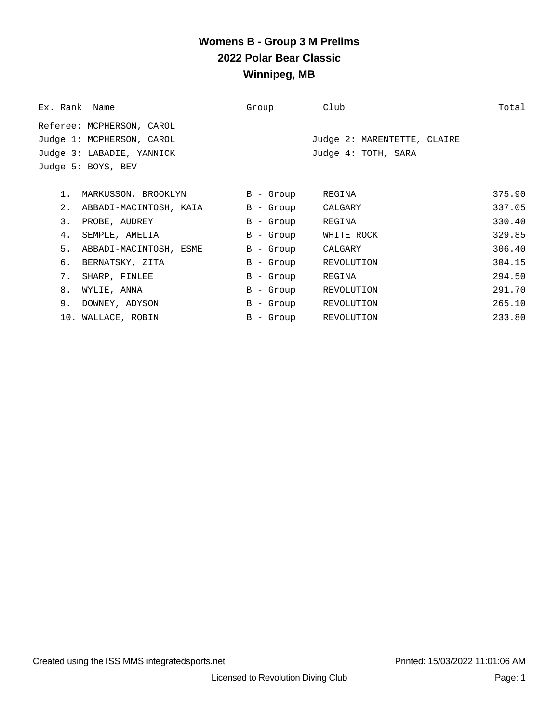#### **Womens B - Group 3 M Prelims 2022 Polar Bear Classic Winnipeg, MB**

| Ex. Rank Name |                           | Group       | Club                        | Total  |
|---------------|---------------------------|-------------|-----------------------------|--------|
|               | Referee: MCPHERSON, CAROL |             |                             |        |
|               | Judge 1: MCPHERSON, CAROL |             | Judge 2: MARENTETTE, CLAIRE |        |
|               | Judge 3: LABADIE, YANNICK |             | Judge 4: TOTH, SARA         |        |
|               | Judge 5: BOYS, BEV        |             |                             |        |
|               |                           |             |                             |        |
| 1.            | MARKUSSON, BROOKLYN       | B - Group   | REGINA                      | 375.90 |
| 2.            | ABBADI-MACINTOSH, KAIA    | $B -$ Group | CALGARY                     | 337.05 |
| 3.            | PROBE, AUDREY             | B - Group   | REGINA                      | 330.40 |
| 4.            | SEMPLE, AMELIA            | $B -$ Group | WHITE ROCK                  | 329.85 |
| 5.            | ABBADI-MACINTOSH, ESME    | B - Group   | CALGARY                     | 306.40 |
| б.            | BERNATSKY, ZITA           | B - Group   | REVOLUTION                  | 304.15 |
| 7.            | SHARP, FINLEE             | $B -$ Group | REGINA                      | 294.50 |
| 8.            | WYLIE, ANNA               | B - Group   | REVOLUTION                  | 291.70 |
| 9.            | DOWNEY, ADYSON            | B - Group   | REVOLUTION                  | 265.10 |
|               | 10. WALLACE, ROBIN        | B - Group   | REVOLUTION                  | 233.80 |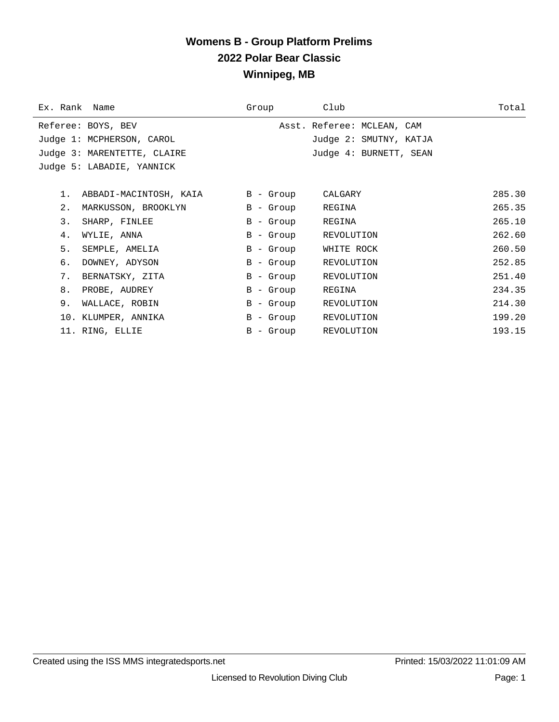## **Womens B - Group Platform Prelims 2022 Polar Bear Classic Winnipeg, MB**

| Ex. Rank Name                   | Group     | Club                       | Total  |
|---------------------------------|-----------|----------------------------|--------|
| Referee: BOYS, BEV              |           | Asst. Referee: MCLEAN, CAM |        |
| Judge 1: MCPHERSON, CAROL       |           | Judge 2: SMUTNY, KATJA     |        |
| Judge 3: MARENTETTE, CLAIRE     |           | Judge 4: BURNETT, SEAN     |        |
| Judge 5: LABADIE, YANNICK       |           |                            |        |
|                                 |           |                            |        |
| ABBADI-MACINTOSH, KAIA<br>$1$ . | B - Group | CALGARY                    | 285.30 |
| 2.<br>MARKUSSON, BROOKLYN       | B - Group | REGINA                     | 265.35 |
| 3.<br>SHARP, FINLEE             | B - Group | REGINA                     | 265.10 |
| WYLIE, ANNA<br>4.               | B - Group | REVOLUTION                 | 262.60 |
| 5.<br>SEMPLE, AMELIA            | B - Group | WHITE ROCK                 | 260.50 |
| б.<br>DOWNEY, ADYSON            | B - Group | REVOLUTION                 | 252.85 |
| 7.<br>BERNATSKY, ZITA           | B - Group | REVOLUTION                 | 251.40 |
| 8.<br>PROBE, AUDREY             | B - Group | REGINA                     | 234.35 |
| 9.<br>WALLACE, ROBIN            | B - Group | REVOLUTION                 | 214.30 |
| 10. KLUMPER, ANNIKA             | B - Group | REVOLUTION                 | 199.20 |
| 11. RING, ELLIE                 | B - Group | REVOLUTION                 | 193.15 |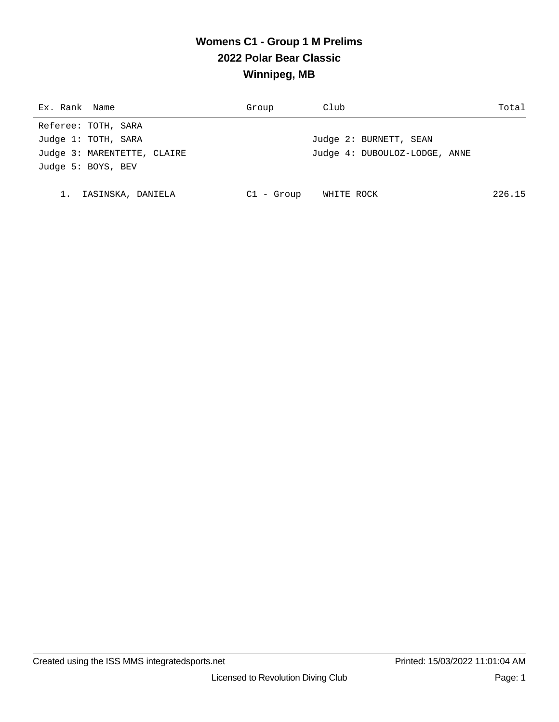# **Womens C1 - Group 1 M Prelims 2022 Polar Bear Classic Winnipeg, MB**

| Ex. Rank Name               | Group        | Club                          | Total  |
|-----------------------------|--------------|-------------------------------|--------|
| Referee: TOTH, SARA         |              |                               |        |
| Judge 1: TOTH, SARA         |              | Judge 2: BURNETT, SEAN        |        |
| Judge 3: MARENTETTE, CLAIRE |              | Judge 4: DUBOULOZ-LODGE, ANNE |        |
| Judge 5: BOYS, BEV          |              |                               |        |
|                             |              |                               |        |
| IASINSKA, DANIELA           | $Cl - Group$ | WHITE ROCK                    | 226.15 |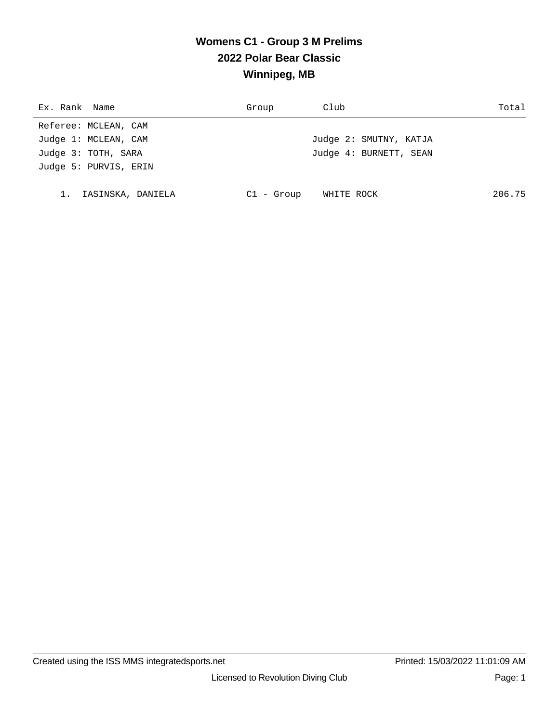# **Womens C1 - Group 3 M Prelims 2022 Polar Bear Classic Winnipeg, MB**

| Ex. Rank Name         | Group        | Club                   | Total  |
|-----------------------|--------------|------------------------|--------|
| Referee: MCLEAN, CAM  |              |                        |        |
| Judge 1: MCLEAN, CAM  |              | Judge 2: SMUTNY, KATJA |        |
| Judge 3: TOTH, SARA   |              | Judge 4: BURNETT, SEAN |        |
| Judge 5: PURVIS, ERIN |              |                        |        |
|                       |              |                        |        |
| 1. IASINSKA, DANIELA  | $Cl - Group$ | WHITE ROCK             | 206.75 |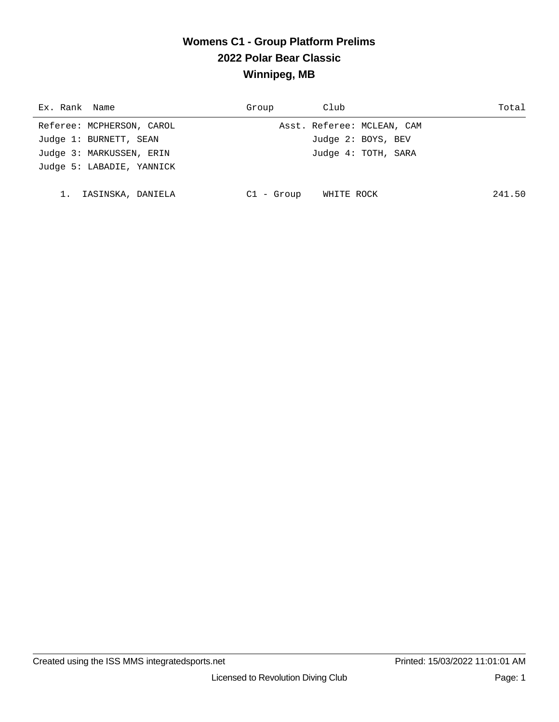## **Womens C1 - Group Platform Prelims 2022 Polar Bear Classic Winnipeg, MB**

| Ex. Rank Name             | Group        | Club                       | Total  |
|---------------------------|--------------|----------------------------|--------|
| Referee: MCPHERSON, CAROL |              | Asst. Referee: MCLEAN, CAM |        |
| Judge 1: BURNETT, SEAN    |              | Judge 2: BOYS, BEV         |        |
| Judge 3: MARKUSSEN, ERIN  |              | Judge 4: TOTH, SARA        |        |
| Judge 5: LABADIE, YANNICK |              |                            |        |
|                           |              |                            |        |
| IASINSKA, DANIELA         | $C1 - Group$ | WHITE ROCK                 | 241.50 |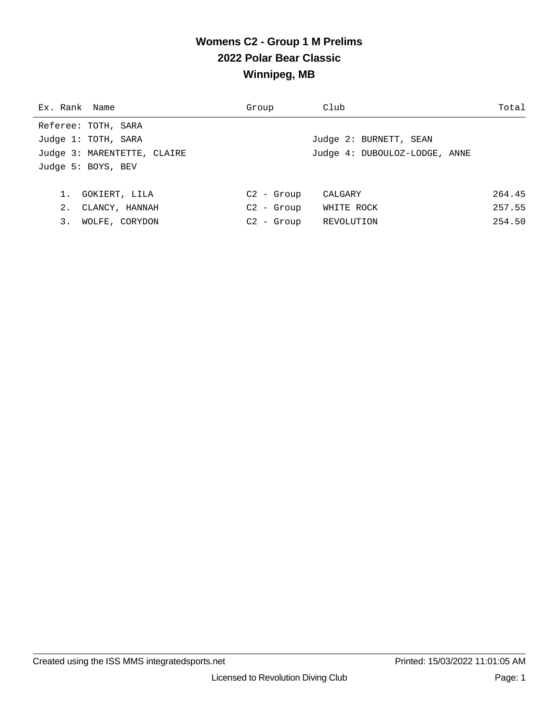## **Womens C2 - Group 1 M Prelims 2022 Polar Bear Classic Winnipeg, MB**

| Ex. Rank Name               | Group                     | Club                          | Total  |
|-----------------------------|---------------------------|-------------------------------|--------|
| Referee: TOTH, SARA         |                           |                               |        |
| Judge 1: TOTH, SARA         |                           | Judge 2: BURNETT, SEAN        |        |
| Judge 3: MARENTETTE, CLAIRE |                           | Judge 4: DUBOULOZ-LODGE, ANNE |        |
| Judge 5: BOYS, BEV          |                           |                               |        |
|                             |                           |                               |        |
| 1.<br>GOKIERT, LILA         | $C2 - Grow$               | CALGARY                       | 264.45 |
| 2.<br>CLANCY, HANNAH        | $C2 - Grow$               | WHITE ROCK                    | 257.55 |
| 3.<br>WOLFE, CORYDON        | C <sub>2</sub><br>- Group | REVOLUTION                    | 254.50 |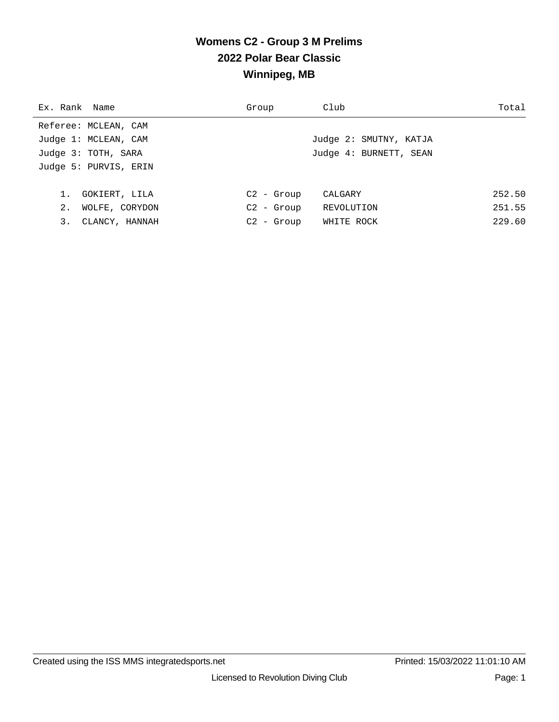## **Womens C2 - Group 3 M Prelims 2022 Polar Bear Classic Winnipeg, MB**

| Ex. Rank Name         | Group        | Club                   | Total  |
|-----------------------|--------------|------------------------|--------|
| Referee: MCLEAN, CAM  |              |                        |        |
| Judge 1: MCLEAN, CAM  |              | Judge 2: SMUTNY, KATJA |        |
| Judge 3: TOTH, SARA   |              | Judge 4: BURNETT, SEAN |        |
| Judge 5: PURVIS, ERIN |              |                        |        |
|                       |              |                        |        |
| 1.<br>GOKIERT, LILA   | $C2 - Group$ | CALGARY                | 252.50 |
| 2.<br>WOLFE, CORYDON  | $C2 -$ Group | REVOLUTION             | 251.55 |
| 3.<br>CLANCY, HANNAH  | $C2 -$ Group | WHITE ROCK             | 229.60 |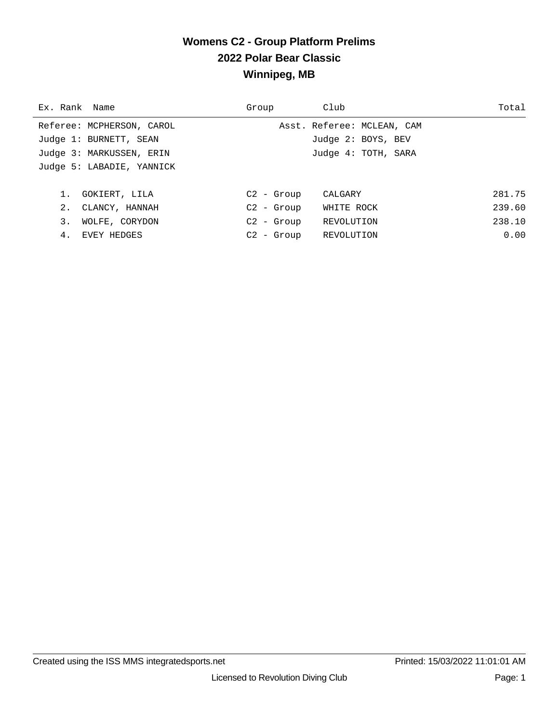## **Womens C2 - Group Platform Prelims 2022 Polar Bear Classic Winnipeg, MB**

| Ex. Rank Name             | Group        | Club                       | Total  |
|---------------------------|--------------|----------------------------|--------|
| Referee: MCPHERSON, CAROL |              | Asst. Referee: MCLEAN, CAM |        |
| Judge 1: BURNETT, SEAN    |              | Judge 2: BOYS, BEV         |        |
| Judge 3: MARKUSSEN, ERIN  |              | Judge 4: TOTH, SARA        |        |
| Judge 5: LABADIE, YANNICK |              |                            |        |
|                           |              |                            |        |
| GOKIERT, LILA             | $C2 - Grow$  | CALGARY                    | 281.75 |
| 2.<br>CLANCY, HANNAH      | $C2 - Grow$  | WHITE ROCK                 | 239.60 |
| 3.<br>WOLFE, CORYDON      | $C2 - Group$ | REVOLUTION                 | 238.10 |
| 4.<br>EVEY HEDGES         | $C2 - Grow$  | REVOLUTION                 | 0.00   |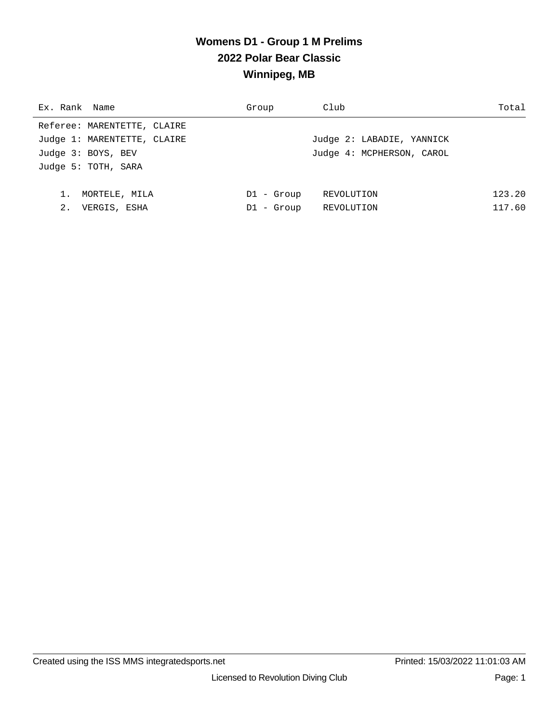## **Womens D1 - Group 1 M Prelims 2022 Polar Bear Classic Winnipeg, MB**

| Ex. Rank Name               | Group      | Club                      | Total  |
|-----------------------------|------------|---------------------------|--------|
| Referee: MARENTETTE, CLAIRE |            |                           |        |
| Judge 1: MARENTETTE, CLAIRE |            | Judge 2: LABADIE, YANNICK |        |
| Judge 3: BOYS, BEV          |            | Judge 4: MCPHERSON, CAROL |        |
| Judge 5: TOTH, SARA         |            |                           |        |
|                             |            |                           |        |
| MORTELE, MILA               | D1 - Group | REVOLUTION                | 123.20 |
| 2.<br>VERGIS, ESHA          | D1 - Group | REVOLUTION                | 117.60 |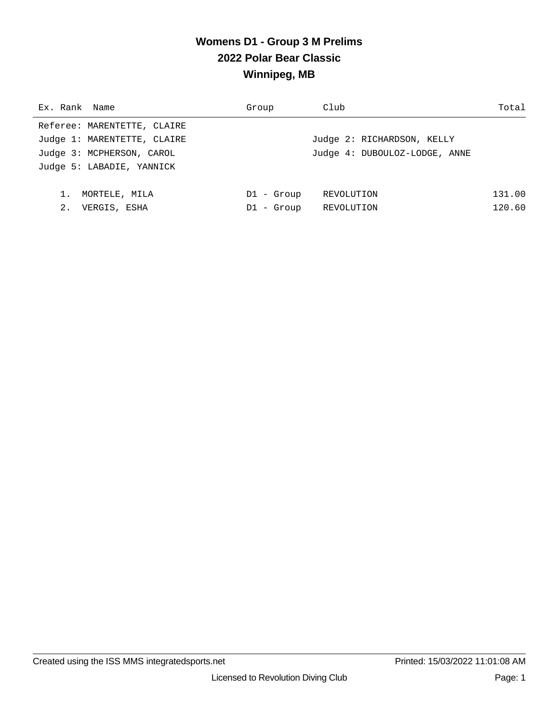## **Womens D1 - Group 3 M Prelims 2022 Polar Bear Classic Winnipeg, MB**

| Ex. Rank Name               | Group        | Club                          | Total  |
|-----------------------------|--------------|-------------------------------|--------|
| Referee: MARENTETTE, CLAIRE |              |                               |        |
| Judge 1: MARENTETTE, CLAIRE |              | Judge 2: RICHARDSON, KELLY    |        |
| Judge 3: MCPHERSON, CAROL   |              | Judge 4: DUBOULOZ-LODGE, ANNE |        |
| Judge 5: LABADIE, YANNICK   |              |                               |        |
|                             |              |                               |        |
| 1.<br>MORTELE, MILA         | $DI - Group$ | REVOLUTION                    | 131.00 |
| 2.<br>VERGIS, ESHA          | $DI - Group$ | REVOLUTION                    | 120.60 |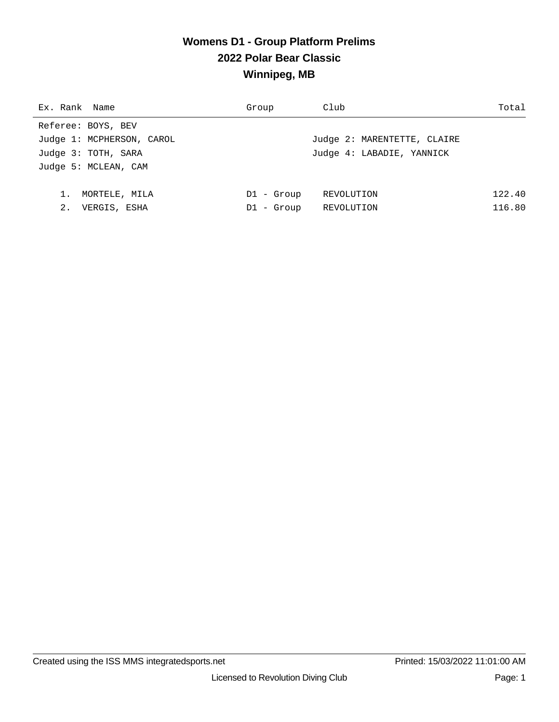# **Womens D1 - Group Platform Prelims 2022 Polar Bear Classic Winnipeg, MB**

| Ex. Rank Name             | Group        | Club                        | Total  |
|---------------------------|--------------|-----------------------------|--------|
| Referee: BOYS, BEV        |              |                             |        |
| Judge 1: MCPHERSON, CAROL |              | Judge 2: MARENTETTE, CLAIRE |        |
| Judge 3: TOTH, SARA       |              | Judge 4: LABADIE, YANNICK   |        |
| Judge 5: MCLEAN, CAM      |              |                             |        |
|                           |              |                             |        |
| 1.<br>MORTELE, MILA       | $DI - Group$ | REVOLUTION                  | 122.40 |
| 2.<br>VERGIS, ESHA        | $DI - Group$ | REVOLUTION                  | 116.80 |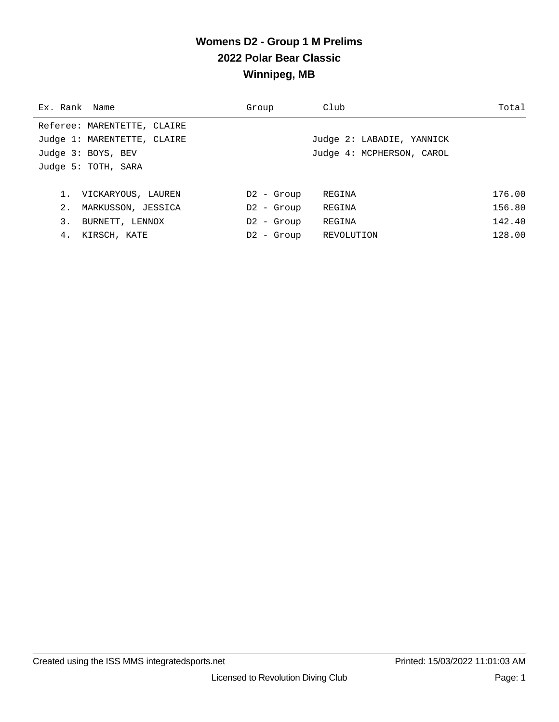## **Womens D2 - Group 1 M Prelims 2022 Polar Bear Classic Winnipeg, MB**

| Ex. Rank Name               | Group        | Club                      | Total  |
|-----------------------------|--------------|---------------------------|--------|
| Referee: MARENTETTE, CLAIRE |              |                           |        |
| Judge 1: MARENTETTE, CLAIRE |              | Judge 2: LABADIE, YANNICK |        |
| Judge 3: BOYS, BEV          |              | Judge 4: MCPHERSON, CAROL |        |
| Judge 5: TOTH, SARA         |              |                           |        |
|                             |              |                           |        |
| 1. VICKARYOUS, LAUREN       | $D2 -$ Group | REGINA                    | 176.00 |
| 2.<br>MARKUSSON, JESSICA    | $D2 -$ Group | REGINA                    | 156.80 |
| 3.<br>BURNETT, LENNOX       | $D2 -$ Group | REGINA                    | 142.40 |
| 4.<br>KIRSCH, KATE          | $D2 -$ Group | REVOLUTION                | 128.00 |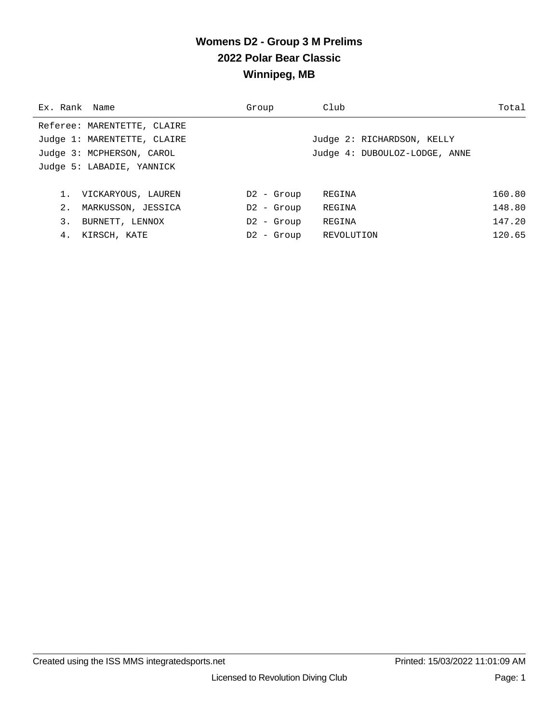## **Womens D2 - Group 3 M Prelims 2022 Polar Bear Classic Winnipeg, MB**

| Ex. Rank Name               | Group        | Club                          | Total  |
|-----------------------------|--------------|-------------------------------|--------|
| Referee: MARENTETTE, CLAIRE |              |                               |        |
| Judge 1: MARENTETTE, CLAIRE |              | Judge 2: RICHARDSON, KELLY    |        |
| Judge 3: MCPHERSON, CAROL   |              | Judge 4: DUBOULOZ-LODGE, ANNE |        |
| Judge 5: LABADIE, YANNICK   |              |                               |        |
|                             |              |                               |        |
| 1.<br>VICKARYOUS, LAUREN    | $D2 -$ Group | REGINA                        | 160.80 |
| 2.<br>MARKUSSON, JESSICA    | $D2 -$ Group | REGINA                        | 148.80 |
| 3.<br>BURNETT, LENNOX       | $D2 -$ Group | REGINA                        | 147.20 |
| 4.<br>KIRSCH, KATE          | $D2 -$ Group | REVOLUTION                    | 120.65 |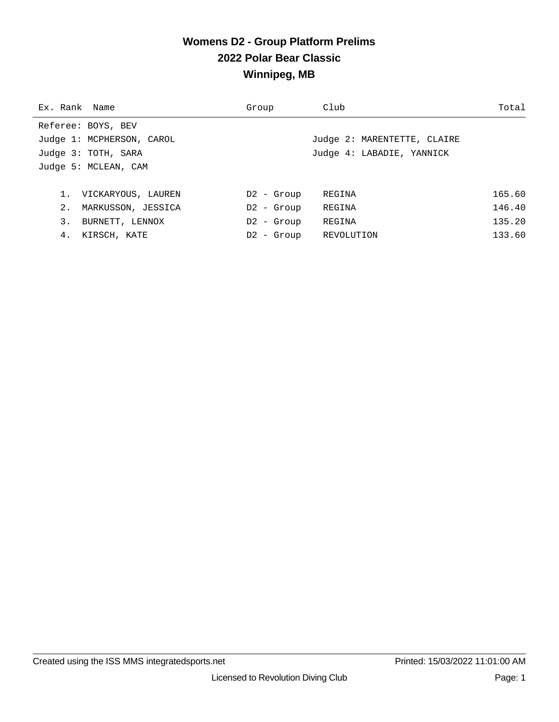# **Womens D2 - Group Platform Prelims 2022 Polar Bear Classic Winnipeg, MB**

| Ex. Rank Name             | Group        | Club                        | Total  |
|---------------------------|--------------|-----------------------------|--------|
| Referee: BOYS, BEV        |              |                             |        |
| Judge 1: MCPHERSON, CAROL |              | Judge 2: MARENTETTE, CLAIRE |        |
| Judge 3: TOTH, SARA       |              | Judge 4: LABADIE, YANNICK   |        |
| Judge 5: MCLEAN, CAM      |              |                             |        |
|                           |              |                             |        |
| 1. VICKARYOUS, LAUREN     | $D2 -$ Group | REGINA                      | 165.60 |
| 2.<br>MARKUSSON, JESSICA  | $D2 -$ Group | REGINA                      | 146.40 |
| 3.<br>BURNETT, LENNOX     | $D2 -$ Group | REGINA                      | 135.20 |
| 4.<br>KIRSCH, KATE        | $D2 -$ Group | REVOLUTION                  | 133.60 |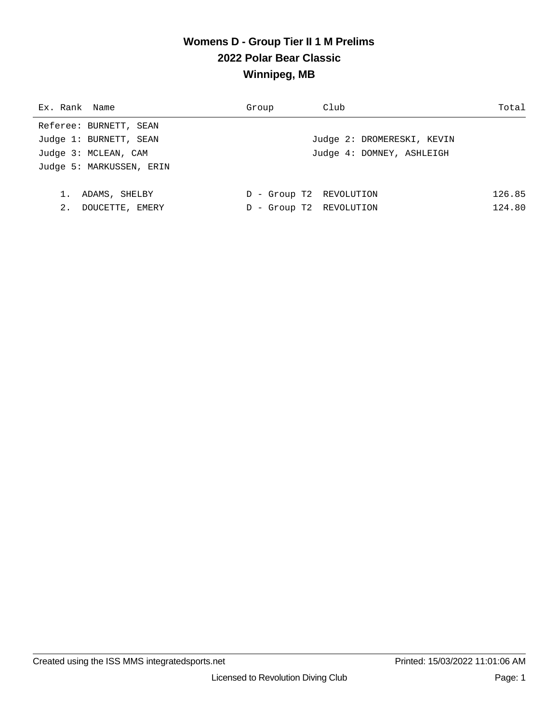## **Womens D - Group Tier II 1 M Prelims 2022 Polar Bear Classic Winnipeg, MB**

| Ex. Rank Name            | Group                      | Club                       | Total  |
|--------------------------|----------------------------|----------------------------|--------|
| Referee: BURNETT, SEAN   |                            |                            |        |
| Judge 1: BURNETT, SEAN   |                            | Judge 2: DROMERESKI, KEVIN |        |
| Judge 3: MCLEAN, CAM     |                            | Judge 4: DOMNEY, ASHLEIGH  |        |
| Judge 5: MARKUSSEN, ERIN |                            |                            |        |
|                          |                            |                            |        |
| ADAMS, SHELBY<br>1.      | D - Group T2 REVOLUTION    |                            | 126.85 |
| 2.<br>DOUCETTE, EMERY    | - Group T2 REVOLUTION<br>D |                            | 124.80 |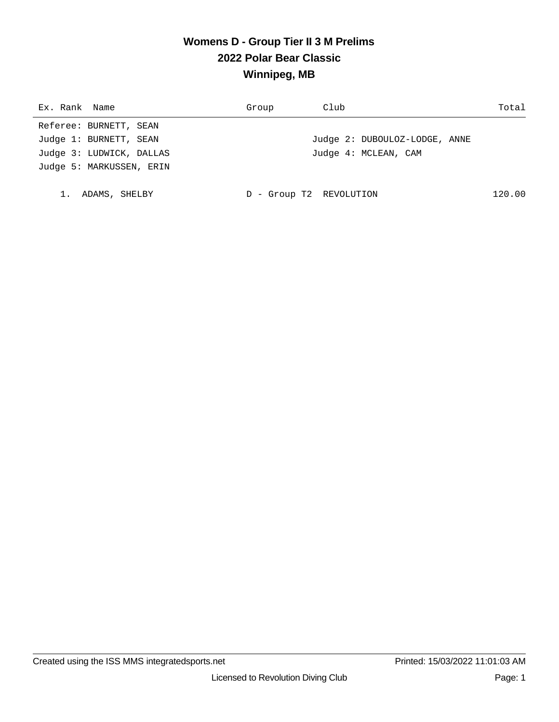## **Womens D - Group Tier II 3 M Prelims 2022 Polar Bear Classic Winnipeg, MB**

| Ex. Rank Name            | Group | Club                          | Total  |
|--------------------------|-------|-------------------------------|--------|
| Referee: BURNETT, SEAN   |       |                               |        |
| Judge 1: BURNETT, SEAN   |       | Judge 2: DUBOULOZ-LODGE, ANNE |        |
| Judge 3: LUDWICK, DALLAS |       | Judge 4: MCLEAN, CAM          |        |
| Judge 5: MARKUSSEN, ERIN |       |                               |        |
|                          |       |                               |        |
| ADAMS, SHELBY            |       | - Group T2 REVOLUTION         | 120.00 |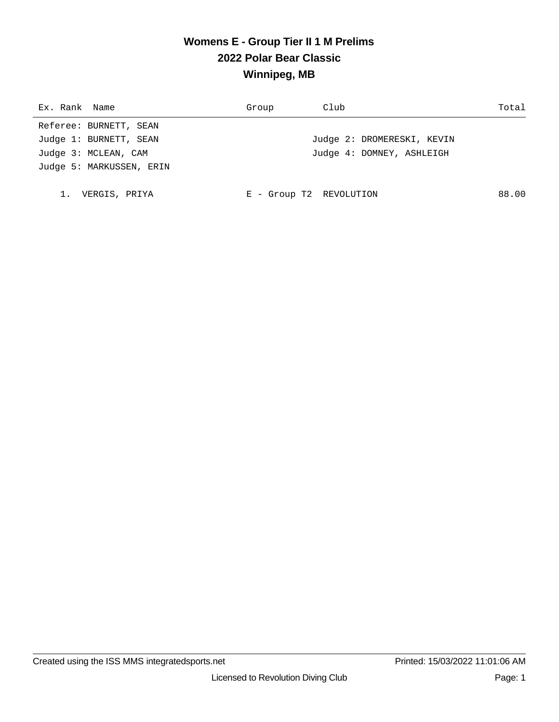## **Womens E - Group Tier II 1 M Prelims 2022 Polar Bear Classic Winnipeg, MB**

| Ex. Rank Name            | Group                   | Club                       | Total |
|--------------------------|-------------------------|----------------------------|-------|
| Referee: BURNETT, SEAN   |                         |                            |       |
| Judge 1: BURNETT, SEAN   |                         | Judge 2: DROMERESKI, KEVIN |       |
| Judge 3: MCLEAN, CAM     |                         | Judge 4: DOMNEY, ASHLEIGH  |       |
| Judge 5: MARKUSSEN, ERIN |                         |                            |       |
|                          |                         |                            |       |
| VERGIS, PRIYA            | E - Group T2 REVOLUTION |                            | 88.00 |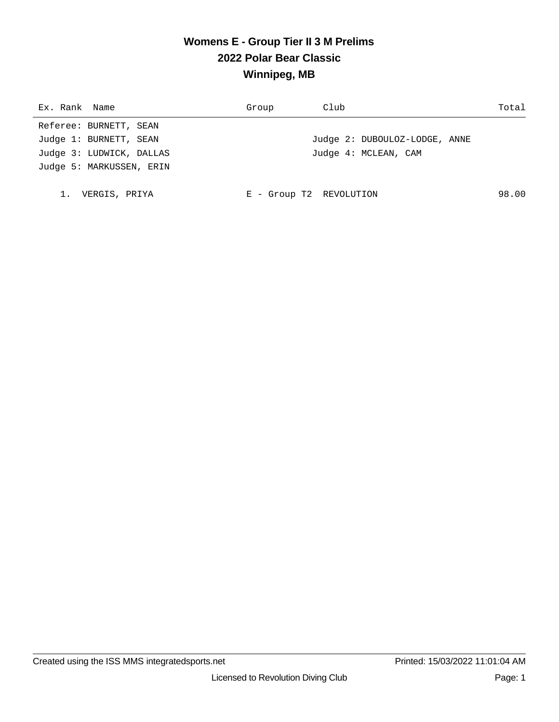## **Womens E - Group Tier II 3 M Prelims 2022 Polar Bear Classic Winnipeg, MB**

| Ex. Rank Name            | Group                   | Club                          | Total |
|--------------------------|-------------------------|-------------------------------|-------|
| Referee: BURNETT, SEAN   |                         |                               |       |
| Judge 1: BURNETT, SEAN   |                         | Judge 2: DUBOULOZ-LODGE, ANNE |       |
| Judge 3: LUDWICK, DALLAS |                         | Judge 4: MCLEAN, CAM          |       |
| Judge 5: MARKUSSEN, ERIN |                         |                               |       |
|                          |                         |                               |       |
| VERGIS, PRIYA            | E - Group T2 REVOLUTION |                               | 98.00 |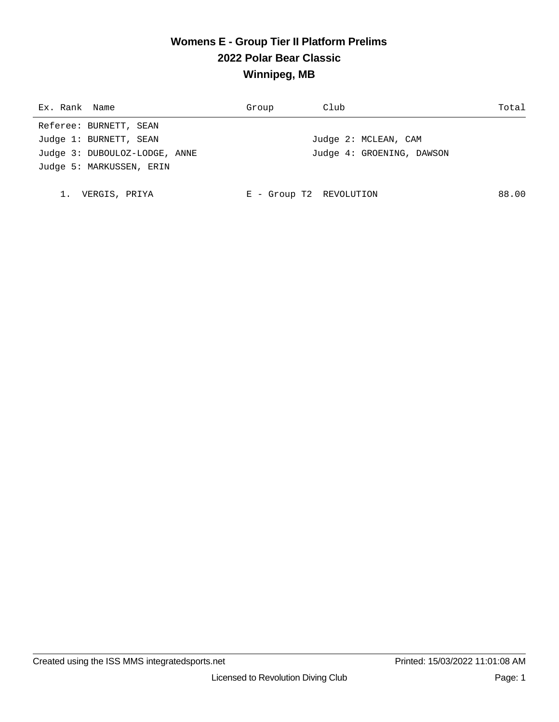## **Womens E - Group Tier II Platform Prelims 2022 Polar Bear Classic Winnipeg, MB**

| Ex. Rank Name                 | Group                   | Club                      | Total |
|-------------------------------|-------------------------|---------------------------|-------|
| Referee: BURNETT, SEAN        |                         |                           |       |
| Judge 1: BURNETT, SEAN        |                         | Judge 2: MCLEAN, CAM      |       |
| Judge 3: DUBOULOZ-LODGE, ANNE |                         | Judge 4: GROENING, DAWSON |       |
| Judge 5: MARKUSSEN, ERIN      |                         |                           |       |
|                               |                         |                           |       |
| VERGIS, PRIYA                 | E - Group T2 REVOLUTION |                           | 88.00 |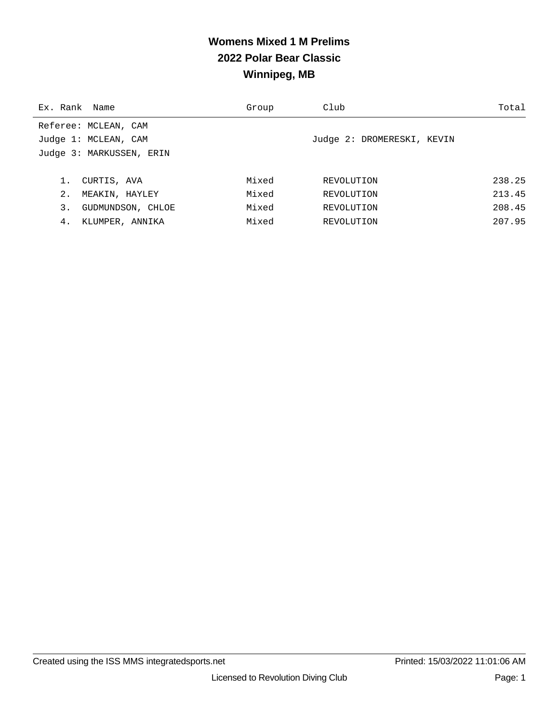# **Womens Mixed 1 M Prelims 2022 Polar Bear Classic Winnipeg, MB**

| Ex. Rank Name |                          | Group | Club                       | Total  |
|---------------|--------------------------|-------|----------------------------|--------|
|               | Referee: MCLEAN, CAM     |       |                            |        |
|               | Judge 1: MCLEAN, CAM     |       | Judge 2: DROMERESKI, KEVIN |        |
|               | Judge 3: MARKUSSEN, ERIN |       |                            |        |
|               |                          |       |                            |        |
|               | CURTIS, AVA              | Mixed | REVOLUTION                 | 238.25 |
| 2.            | MEAKIN, HAYLEY           | Mixed | REVOLUTION                 | 213.45 |
| 3.            | GUDMUNDSON, CHLOE        | Mixed | REVOLUTION                 | 208.45 |
| 4.            | KLUMPER, ANNIKA          | Mixed | REVOLUTION                 | 207.95 |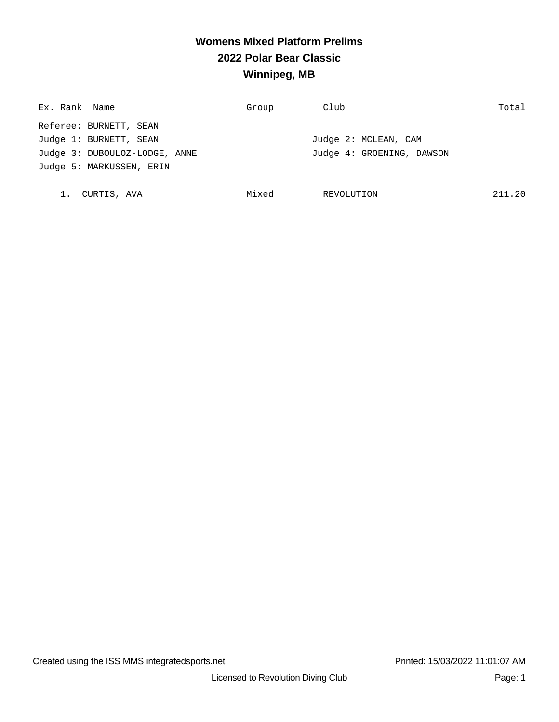# **Womens Mixed Platform Prelims 2022 Polar Bear Classic Winnipeg, MB**

| Ex. Rank Name |                               | Group | Club                      | Total  |
|---------------|-------------------------------|-------|---------------------------|--------|
|               | Referee: BURNETT, SEAN        |       |                           |        |
|               | Judge 1: BURNETT, SEAN        |       | Judge 2: MCLEAN, CAM      |        |
|               | Judge 3: DUBOULOZ-LODGE, ANNE |       | Judge 4: GROENING, DAWSON |        |
|               | Judge 5: MARKUSSEN, ERIN      |       |                           |        |
|               |                               |       |                           |        |
|               | CURTIS, AVA                   | Mixed | REVOLUTION                | 211.20 |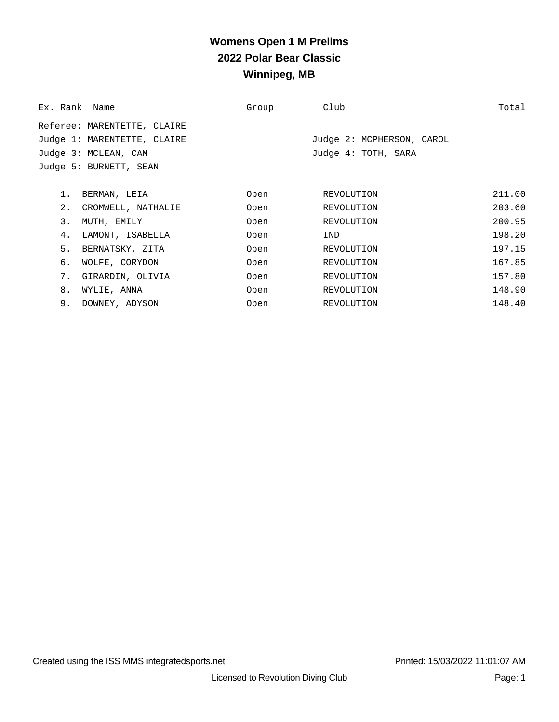## **Womens Open 1 M Prelims 2022 Polar Bear Classic Winnipeg, MB**

| Ex. Rank Name |                             | Group | Club                      | Total  |
|---------------|-----------------------------|-------|---------------------------|--------|
|               | Referee: MARENTETTE, CLAIRE |       |                           |        |
|               | Judge 1: MARENTETTE, CLAIRE |       | Judge 2: MCPHERSON, CAROL |        |
|               | Judge 3: MCLEAN, CAM        |       | Judge 4: TOTH, SARA       |        |
|               | Judge 5: BURNETT, SEAN      |       |                           |        |
|               |                             |       |                           |        |
| 1.            | BERMAN, LEIA                | Open  | REVOLUTION                | 211.00 |
| 2.            | CROMWELL, NATHALIE          | Open  | REVOLUTION                | 203.60 |
| 3.            | MUTH, EMILY                 | Open  | REVOLUTION                | 200.95 |
| 4.            | LAMONT, ISABELLA            | Open  | IND                       | 198.20 |
| 5.            | BERNATSKY, ZITA             | Open  | REVOLUTION                | 197.15 |
| б.            | WOLFE, CORYDON              | Open  | REVOLUTION                | 167.85 |
| 7.            | GIRARDIN, OLIVIA            | Open  | REVOLUTION                | 157.80 |
| 8.            | WYLIE, ANNA                 | Open  | REVOLUTION                | 148.90 |
| 9.            | DOWNEY, ADYSON              | Open  | REVOLUTION                | 148.40 |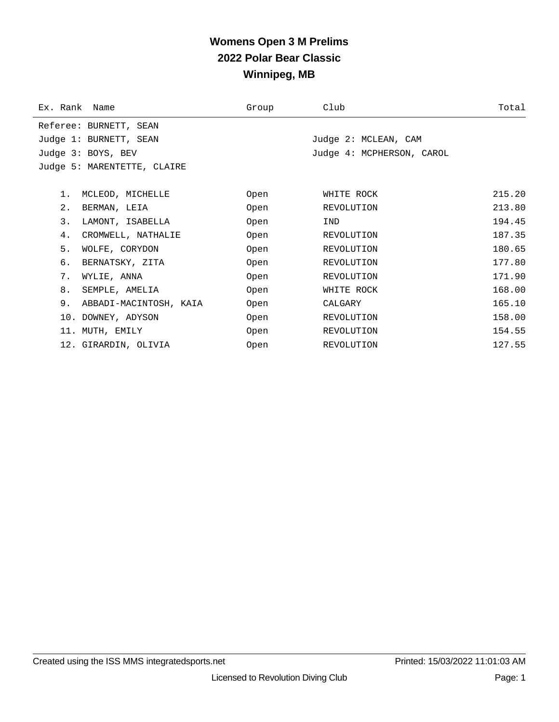## **Womens Open 3 M Prelims 2022 Polar Bear Classic Winnipeg, MB**

| Ex. Rank Name |                             | Group | Club                      | Total  |
|---------------|-----------------------------|-------|---------------------------|--------|
|               | Referee: BURNETT, SEAN      |       |                           |        |
|               | Judge 1: BURNETT, SEAN      |       | Judge 2: MCLEAN, CAM      |        |
|               | Judge 3: BOYS, BEV          |       | Judge 4: MCPHERSON, CAROL |        |
|               | Judge 5: MARENTETTE, CLAIRE |       |                           |        |
|               |                             |       |                           |        |
| 1.            | MCLEOD, MICHELLE            | Open  | WHITE ROCK                | 215.20 |
| $2$ .         | BERMAN, LEIA                | Open  | REVOLUTION                | 213.80 |
| 3.            | LAMONT, ISABELLA            | Open  | IND                       | 194.45 |
| 4.            | CROMWELL, NATHALIE          | Open  | REVOLUTION                | 187.35 |
| 5.            | WOLFE, CORYDON              | Open  | REVOLUTION                | 180.65 |
| б.            | BERNATSKY, ZITA             | Open  | REVOLUTION                | 177.80 |
| 7.            | WYLIE, ANNA                 | Open  | REVOLUTION                | 171.90 |
| 8.            | SEMPLE, AMELIA              | Open  | WHITE ROCK                | 168.00 |
| 9.            | ABBADI-MACINTOSH, KAIA      | Open  | CALGARY                   | 165.10 |
|               | 10. DOWNEY, ADYSON          | Open  | REVOLUTION                | 158.00 |
|               | 11. MUTH, EMILY             | Open  | REVOLUTION                | 154.55 |
|               | 12. GIRARDIN, OLIVIA        | Open  | REVOLUTION                | 127.55 |